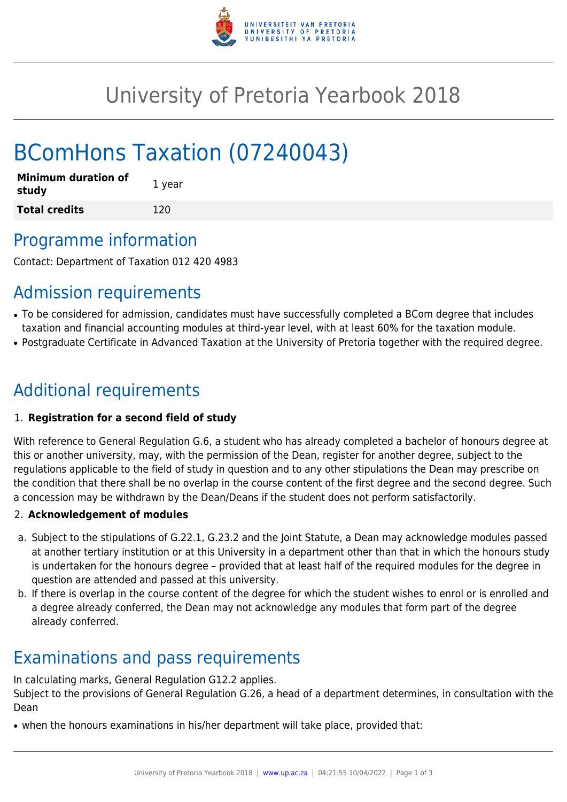

## University of Pretoria Yearbook 2018

# BComHons Taxation (07240043)

| <b>Minimum duration of</b><br>study | 1 year |
|-------------------------------------|--------|
| <b>Total credits</b>                | 120    |

### Programme information

Contact: Department of Taxation 012 420 4983

### Admission requirements

- To be considered for admission, candidates must have successfully completed a BCom degree that includes taxation and financial accounting modules at third-year level, with at least 60% for the taxation module.
- Postgraduate Certificate in Advanced Taxation at the University of Pretoria together with the required degree.

## Additional requirements

#### 1. **Registration for a second field of study**

With reference to General Regulation G.6, a student who has already completed a bachelor of honours degree at this or another university, may, with the permission of the Dean, register for another degree, subject to the regulations applicable to the field of study in question and to any other stipulations the Dean may prescribe on the condition that there shall be no overlap in the course content of the first degree and the second degree. Such a concession may be withdrawn by the Dean/Deans if the student does not perform satisfactorily.

#### 2. **Acknowledgement of modules**

- a. Subject to the stipulations of G.22.1, G.23.2 and the Joint Statute, a Dean may acknowledge modules passed at another tertiary institution or at this University in a department other than that in which the honours study is undertaken for the honours degree – provided that at least half of the required modules for the degree in question are attended and passed at this university.
- b. If there is overlap in the course content of the degree for which the student wishes to enrol or is enrolled and a degree already conferred, the Dean may not acknowledge any modules that form part of the degree already conferred.

### Examinations and pass requirements

In calculating marks, General Regulation G12.2 applies.

Subject to the provisions of General Regulation G.26, a head of a department determines, in consultation with the Dean

• when the honours examinations in his/her department will take place, provided that: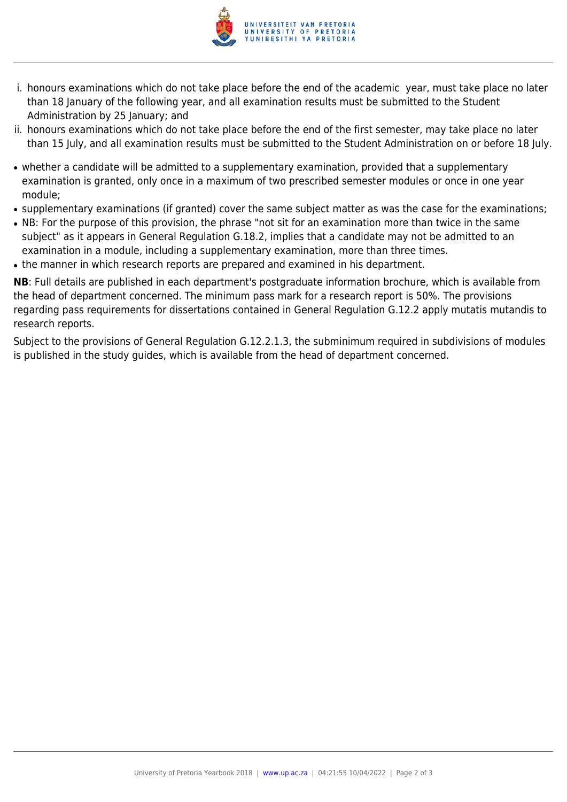

- i. honours examinations which do not take place before the end of the academic year, must take place no later than 18 January of the following year, and all examination results must be submitted to the Student Administration by 25 January; and
- ii. honours examinations which do not take place before the end of the first semester, may take place no later than 15 July, and all examination results must be submitted to the Student Administration on or before 18 July.
- whether a candidate will be admitted to a supplementary examination, provided that a supplementary examination is granted, only once in a maximum of two prescribed semester modules or once in one year module;
- supplementary examinations (if granted) cover the same subject matter as was the case for the examinations;
- NB: For the purpose of this provision, the phrase "not sit for an examination more than twice in the same subject" as it appears in General Regulation G.18.2, implies that a candidate may not be admitted to an examination in a module, including a supplementary examination, more than three times.
- the manner in which research reports are prepared and examined in his department.

**NB**: Full details are published in each department's postgraduate information brochure, which is available from the head of department concerned. The minimum pass mark for a research report is 50%. The provisions regarding pass requirements for dissertations contained in General Regulation G.12.2 apply mutatis mutandis to research reports.

Subject to the provisions of General Regulation G.12.2.1.3, the subminimum required in subdivisions of modules is published in the study guides, which is available from the head of department concerned.